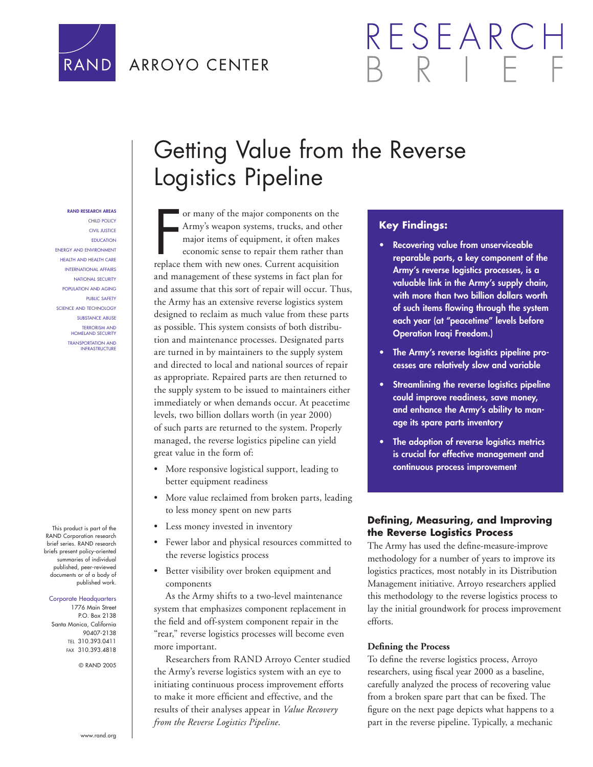

### ARROYO CENTER

# RESEARC

## Getting Value from the Reverse Logistics Pipeline

#### **RAND RESEARCH AREAS** CHILD POLICY CIVIL JUSTICE EDUCATION ENERGY AND ENVIRONMENT HEALTH AND HEALTH CARE INTERNATIONAL AFFAIRS NATIONAL SECURITY POPULATION AND AGING PUBLIC SAFETY SCIENCE AND TECHNOLOGY SUBSTANCE ABUSE TERRORISM AND HOMELAND SECURITY TRANSPORTATION AND INFRASTRUCTURE

This product is part of the RAND Corporation research brief series. RAND research briefs present policy-oriented summaries of individual published, peer-reviewed documents or of a body of published work.

#### Corporate Headquarters

1776 Main Street P.O. Box 2138 Santa Monica, California 90407-2138 TEL 310.393.0411 FAX 310.393.4818

© RAND 2005

or many of the major components on the<br>Army's weapon systems, trucks, and other<br>major items of equipment, it often makes<br>economic sense to repair them rather than<br>replace them with new ones. Current acquisition or many of the major components on the Army's weapon systems, trucks, and other major items of equipment, it often makes economic sense to repair them rather than and management of these systems in fact plan for and assume that this sort of repair will occur. Thus, the Army has an extensive reverse logistics system designed to reclaim as much value from these parts as possible. This system consists of both distribution and maintenance processes. Designated parts are turned in by maintainers to the supply system and directed to local and national sources of repair as appropriate. Repaired parts are then returned to the supply system to be issued to maintainers either immediately or when demands occur. At peacetime levels, two billion dollars worth (in year 2000) of such parts are returned to the system. Properly managed, the reverse logistics pipeline can yield great value in the form of:

- More responsive logistical support, leading to better equipment readiness
- More value reclaimed from broken parts, leading to less money spent on new parts
- Less money invested in inventory
- Fewer labor and physical resources committed to the reverse logistics process
- Better visibility over broken equipment and components

As the Army shifts to a two-level maintenance system that emphasizes component replacement in the field and off-system component repair in the "rear," reverse logistics processes will become even more important.

Researchers from RAND Arroyo Center studied the Army's reverse logistics system with an eye to initiating continuous process improvement efforts to make it more efficient and effective, and the results of their analyses appear in *Value Recovery from the Reverse Logistics Pipeline*.

#### **Key Findings:**

- **Recovering value from unserviceable reparable parts, a key component of the Army's reverse logistics processes, is a valuable link in the Army's supply chain, with more than two billion dollars worth**  of such items flowing through the system **each year (at "peacetime" levels before Operation Iraqi Freedom.)**
- **The Army's reverse logistics pipeline processes are relatively slow and variable**
- **Streamlining the reverse logistics pipeline could improve readiness, save money, and enhance the Army's ability to manage its spare parts inventory**
- **The adoption of reverse logistics metrics is crucial for effective management and continuous process improvement**

#### **Defi ning, Measuring, and Improving the Reverse Logistics Process**

The Army has used the define-measure-improve methodology for a number of years to improve its logistics practices, most notably in its Distribution Management initiative. Arroyo researchers applied this methodology to the reverse logistics process to lay the initial groundwork for process improvement efforts.

#### **Defining the Process**

To define the reverse logistics process, Arroyo researchers, using fiscal year 2000 as a baseline, carefully analyzed the process of recovering value from a broken spare part that can be fixed. The figure on the next page depicts what happens to a part in the reverse pipeline. Typically, a mechanic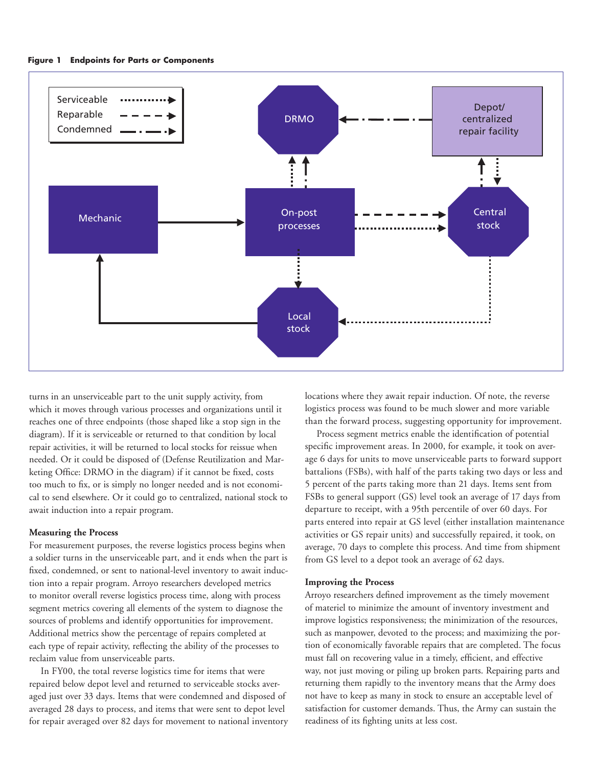

turns in an unserviceable part to the unit supply activity, from which it moves through various processes and organizations until it reaches one of three endpoints (those shaped like a stop sign in the diagram). If it is serviceable or returned to that condition by local repair activities, it will be returned to local stocks for reissue when needed. Or it could be disposed of (Defense Reutilization and Marketing Office: DRMO in the diagram) if it cannot be fixed, costs too much to fix, or is simply no longer needed and is not economical to send elsewhere. Or it could go to centralized, national stock to await induction into a repair program.

#### **Measuring the Process**

For measurement purposes, the reverse logistics process begins when a soldier turns in the unserviceable part, and it ends when the part is fixed, condemned, or sent to national-level inventory to await induction into a repair program. Arroyo researchers developed metrics to monitor overall reverse logistics process time, along with process segment metrics covering all elements of the system to diagnose the sources of problems and identify opportunities for improvement. Additional metrics show the percentage of repairs completed at each type of repair activity, reflecting the ability of the processes to reclaim value from unserviceable parts.

In FY00, the total reverse logistics time for items that were repaired below depot level and returned to serviceable stocks averaged just over 33 days. Items that were condemned and disposed of averaged 28 days to process, and items that were sent to depot level for repair averaged over 82 days for movement to national inventory locations where they await repair induction. Of note, the reverse logistics process was found to be much slower and more variable than the forward process, suggesting opportunity for improvement.

Process segment metrics enable the identification of potential specific improvement areas. In 2000, for example, it took on average 6 days for units to move unserviceable parts to forward support battalions (FSBs), with half of the parts taking two days or less and 5 percent of the parts taking more than 21 days. Items sent from FSBs to general support (GS) level took an average of 17 days from departure to receipt, with a 95th percentile of over 60 days. For parts entered into repair at GS level (either installation maintenance activities or GS repair units) and successfully repaired, it took, on average, 70 days to complete this process. And time from shipment from GS level to a depot took an average of 62 days.

#### **Improving the Process**

Arroyo researchers defined improvement as the timely movement of materiel to minimize the amount of inventory investment and improve logistics responsiveness; the minimization of the resources, such as manpower, devoted to the process; and maximizing the portion of economically favorable repairs that are completed. The focus must fall on recovering value in a timely, efficient, and effective way, not just moving or piling up broken parts. Repairing parts and returning them rapidly to the inventory means that the Army does not have to keep as many in stock to ensure an acceptable level of satisfaction for customer demands. Thus, the Army can sustain the readiness of its fighting units at less cost.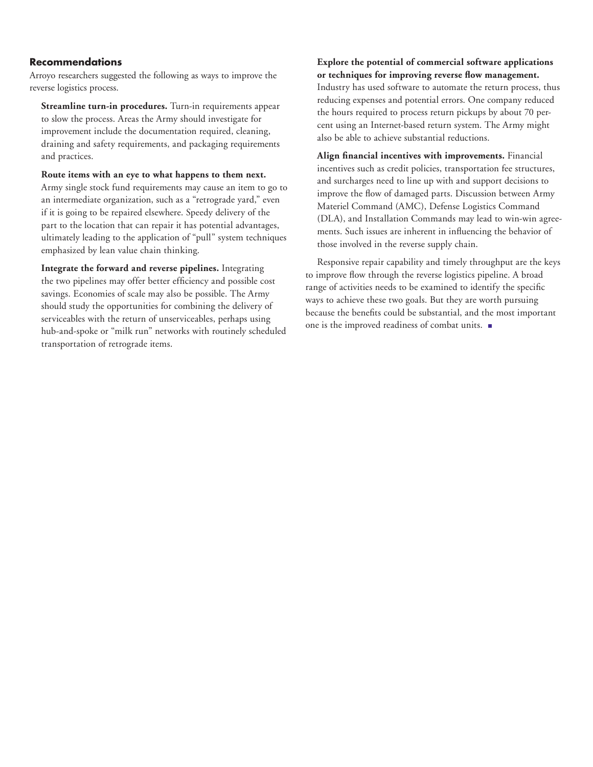#### **Recommendations**

Arroyo researchers suggested the following as ways to improve the reverse logistics process.

**Streamline turn-in procedures.** Turn-in requirements appear to slow the process. Areas the Army should investigate for improvement include the documentation required, cleaning, draining and safety requirements, and packaging requirements and practices.

**Route items with an eye to what happens to them next.**  Army single stock fund requirements may cause an item to go to an intermediate organization, such as a "retrograde yard," even if it is going to be repaired elsewhere. Speedy delivery of the part to the location that can repair it has potential advantages, ultimately leading to the application of "pull" system techniques emphasized by lean value chain thinking.

**Integrate the forward and reverse pipelines.** Integrating the two pipelines may offer better efficiency and possible cost savings. Economies of scale may also be possible. The Army should study the opportunities for combining the delivery of serviceables with the return of unserviceables, perhaps using hub-and-spoke or "milk run" networks with routinely scheduled transportation of retrograde items.

**Explore the potential of commercial software applications**  or techniques for improving reverse flow management. Industry has used software to automate the return process, thus reducing expenses and potential errors. One company reduced the hours required to process return pickups by about 70 percent using an Internet-based return system. The Army might also be able to achieve substantial reductions.

Align financial incentives with improvements. Financial incentives such as credit policies, transportation fee structures, and surcharges need to line up with and support decisions to improve the flow of damaged parts. Discussion between Army Materiel Command (AMC), Defense Logistics Command (DLA), and Installation Commands may lead to win-win agreements. Such issues are inherent in influencing the behavior of those involved in the reverse supply chain.

Responsive repair capability and timely throughput are the keys to improve flow through the reverse logistics pipeline. A broad range of activities needs to be examined to identify the specific ways to achieve these two goals. But they are worth pursuing because the benefits could be substantial, and the most important one is the improved readiness of combat units.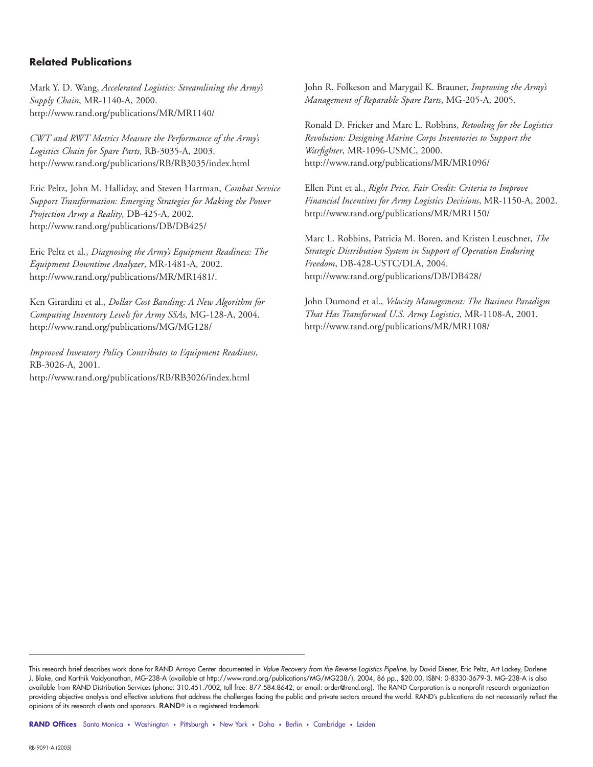#### **Related Publications**

Mark Y. D. Wang, *Accelerated Logistics: Streamlining the Army's Supply Chain*, MR-1140-A, 2000. http://www.rand.org/publications/MR/MR1140/

*CWT and RWT Metrics Measure the Performance of the Army's Logistics Chain for Spare Parts*, RB-3035-A, 2003. http://www.rand.org/publications/RB/RB3035/index.html

Eric Peltz, John M. Halliday, and Steven Hartman, *Combat Service Support Transformation: Emerging Strategies for Making the Power Projection Army a Reality*, DB-425-A, 2002. http://www.rand.org/publications/DB/DB425/

Eric Peltz et al., *Diagnosing the Army's Equipment Readiness: The Equipment Downtime Analyzer*, MR-1481-A, 2002. http://www.rand.org/publications/MR/MR1481/.

Ken Girardini et al., *Dollar Cost Banding: A New Algorithm for Computing Inventory Levels for Army SSAs*, MG-128-A, 2004. http://www.rand.org/publications/MG/MG128/

*Improved Inventory Policy Contributes to Equipment Readiness*, RB-3026-A, 2001. http://www.rand.org/publications/RB/RB3026/index.html

John R. Folkeson and Marygail K. Brauner, *Improving the Army's Management of Reparable Spare Parts*, MG-205-A, 2005.

Ronald D. Fricker and Marc L. Robbins, *Retooling for the Logistics Revolution: Designing Marine Corps Inventories to Support the Warfi ghter*, MR-1096-USMC, 2000. http://www.rand.org/publications/MR/MR1096/

Ellen Pint et al., *Right Price, Fair Credit: Criteria to Improve Financial Incentives for Army Logistics Decisions*, MR-1150-A, 2002. http://www.rand.org/publications/MR/MR1150/

Marc L. Robbins, Patricia M. Boren, and Kristen Leuschner, *The Strategic Distribution System in Support of Operation Enduring Freedom*, DB-428-USTC/DLA, 2004. http://www.rand.org/publications/DB/DB428/

John Dumond et al., *Velocity Management: The Business Paradigm That Has Transformed U.S. Army Logistics*, MR-1108-A, 2001. http://www.rand.org/publications/MR/MR1108/

RAND Offices Santa Monica • Washington • Pittsburgh • New York • Doha • Berlin • Cambridge • Leiden

This research brief describes work done for RAND Arroyo Center documented in *Value Recovery from the Reverse Logistics Pipeline*, by David Diener, Eric Peltz, Art Lackey, Darlene J. Blake, and Karthik Vaidyanathan, MG-238-A (available at http://www.rand.org/publications/MG/MG238/), 2004, 86 pp., \$20.00, ISBN: 0-8330-3679-3. MG-238-A is also available from RAND Distribution Services (phone: 310.451.7002; toll free: 877.584.8642; or email: order@rand.org). The RAND Corporation is a nonprofit research organization providing objective analysis and effective solutions that address the challenges facing the public and private sectors around the world. RAND's publications do not necessarily reflect the opinions of its research clients and sponsors. RAND<sup>®</sup> is a registered trademark.